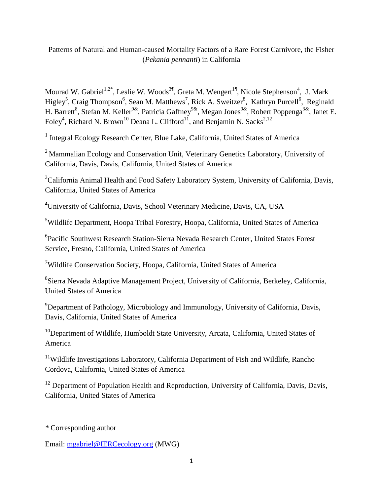## Patterns of Natural and Human-caused Mortality Factors of a Rare Forest Carnivore, the Fisher (*Pekania pennanti*) in California

Mourad W. Gabriel<sup>1,2\*</sup>, Leslie W. Woods<sup>3¶</sup>, Greta M. Wengert<sup>1¶</sup>, Nicole Stephenson<sup>4</sup>, J. Mark Higley<sup>5</sup>, Craig Thompson<sup>6</sup>, Sean M. Matthews<sup>7</sup>, Rick A. Sweitzer<sup>8</sup>, Kathryn Purcell<sup>6</sup>, Reginald H. Barrett<sup>8</sup>, Stefan M. Keller<sup>9&</sup>, Patricia Gaffney<sup>9&</sup>, Megan Jones<sup>9&</sup>, Robert Poppenga<sup>3&</sup>, Janet E. Foley<sup>4</sup>, Richard N. Brown<sup>10</sup> Deana L. Clifford<sup>11</sup>, and Benjamin N. Sacks<sup>2,12</sup>

<sup>1</sup> Integral Ecology Research Center, Blue Lake, California, United States of America

<sup>2</sup> Mammalian Ecology and Conservation Unit, Veterinary Genetics Laboratory, University of California, Davis, Davis, California, United States of America

<sup>3</sup>California Animal Health and Food Safety Laboratory System, University of California, Davis, California, United States of America

**<sup>4</sup>**University of California, Davis, School Veterinary Medicine, Davis, CA, USA

<sup>5</sup>Wildlife Department, Hoopa Tribal Forestry, Hoopa, California, United States of America

6 Pacific Southwest Research Station-Sierra Nevada Research Center, United States Forest Service, Fresno, California, United States of America

<sup>7</sup>Wildlife Conservation Society, Hoopa, California, United States of America

8 Sierra Nevada Adaptive Management Project, University of California, Berkeley, California, United States of America

<sup>9</sup>Department of Pathology, Microbiology and Immunology, University of California, Davis, Davis, California, United States of America

<sup>10</sup>Department of Wildlife, Humboldt State University, Arcata, California, United States of America

<sup>11</sup>Wildlife Investigations Laboratory, California Department of Fish and Wildlife, Rancho Cordova, California, United States of America

<sup>12</sup> Department of Population Health and Reproduction, University of California, Davis, Davis, California, United States of America

*\** Corresponding author

Email: [mgabriel@IERCecology.org](mailto:mgabriel@IERCecology.org) (MWG)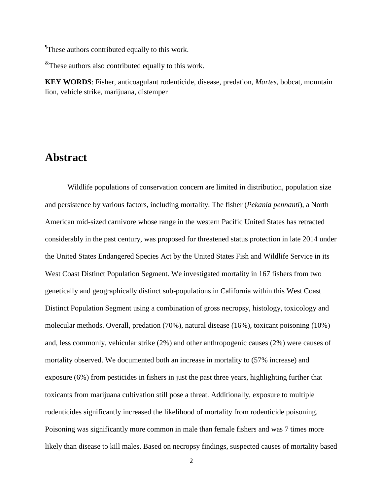These authors contributed equally to this work.

 $*$ These authors also contributed equally to this work.

**KEY WORDS**: Fisher, anticoagulant rodenticide, disease, predation, *Martes*, bobcat, mountain lion, vehicle strike, marijuana, distemper

# **Abstract**

Wildlife populations of conservation concern are limited in distribution, population size and persistence by various factors, including mortality. The fisher (*Pekania pennanti*), a North American mid-sized carnivore whose range in the western Pacific United States has retracted considerably in the past century, was proposed for threatened status protection in late 2014 under the United States Endangered Species Act by the United States Fish and Wildlife Service in its West Coast Distinct Population Segment. We investigated mortality in 167 fishers from two genetically and geographically distinct sub-populations in California within this West Coast Distinct Population Segment using a combination of gross necropsy, histology, toxicology and molecular methods. Overall, predation (70%), natural disease (16%), toxicant poisoning (10%) and, less commonly, vehicular strike (2%) and other anthropogenic causes (2%) were causes of mortality observed. We documented both an increase in mortality to (57% increase) and exposure (6%) from pesticides in fishers in just the past three years, highlighting further that toxicants from marijuana cultivation still pose a threat. Additionally, exposure to multiple rodenticides significantly increased the likelihood of mortality from rodenticide poisoning. Poisoning was significantly more common in male than female fishers and was 7 times more likely than disease to kill males. Based on necropsy findings, suspected causes of mortality based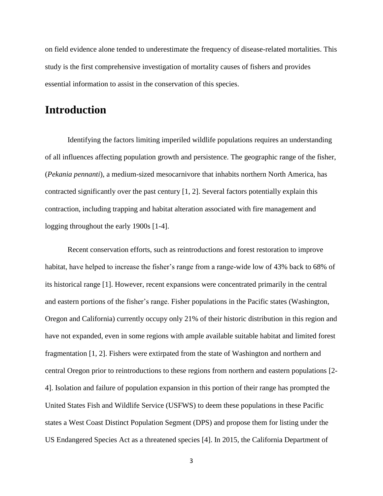on field evidence alone tended to underestimate the frequency of disease-related mortalities. This study is the first comprehensive investigation of mortality causes of fishers and provides essential information to assist in the conservation of this species.

# **Introduction**

Identifying the factors limiting imperiled wildlife populations requires an understanding of all influences affecting population growth and persistence. The geographic range of the fisher, (*Pekania pennanti*), a medium-sized mesocarnivore that inhabits northern North America, has contracted significantly over the past century [1, 2]. Several factors potentially explain this contraction, including trapping and habitat alteration associated with fire management and logging throughout the early 1900s [1-4].

Recent conservation efforts, such as reintroductions and forest restoration to improve habitat, have helped to increase the fisher's range from a range-wide low of 43% back to 68% of its historical range [1]. However, recent expansions were concentrated primarily in the central and eastern portions of the fisher's range. Fisher populations in the Pacific states (Washington, Oregon and California) currently occupy only 21% of their historic distribution in this region and have not expanded, even in some regions with ample available suitable habitat and limited forest fragmentation [1, 2]. Fishers were extirpated from the state of Washington and northern and central Oregon prior to reintroductions to these regions from northern and eastern populations [2- 4]. Isolation and failure of population expansion in this portion of their range has prompted the United States Fish and Wildlife Service (USFWS) to deem these populations in these Pacific states a West Coast Distinct Population Segment (DPS) and propose them for listing under the US Endangered Species Act as a threatened species [4]. In 2015, the California Department of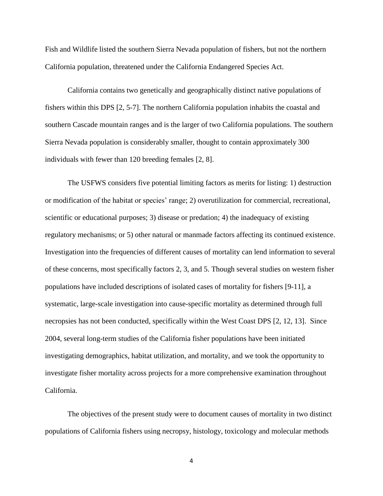Fish and Wildlife listed the southern Sierra Nevada population of fishers, but not the northern California population, threatened under the California Endangered Species Act.

California contains two genetically and geographically distinct native populations of fishers within this DPS [2, 5-7]. The northern California population inhabits the coastal and southern Cascade mountain ranges and is the larger of two California populations. The southern Sierra Nevada population is considerably smaller, thought to contain approximately 300 individuals with fewer than 120 breeding females [2, 8].

The USFWS considers five potential limiting factors as merits for listing: 1) destruction or modification of the habitat or species' range; 2) overutilization for commercial, recreational, scientific or educational purposes; 3) disease or predation; 4) the inadequacy of existing regulatory mechanisms; or 5) other natural or manmade factors affecting its continued existence. Investigation into the frequencies of different causes of mortality can lend information to several of these concerns, most specifically factors 2, 3, and 5. Though several studies on western fisher populations have included descriptions of isolated cases of mortality for fishers [9-11], a systematic, large-scale investigation into cause-specific mortality as determined through full necropsies has not been conducted, specifically within the West Coast DPS [2, 12, 13]. Since 2004, several long-term studies of the California fisher populations have been initiated investigating demographics, habitat utilization, and mortality, and we took the opportunity to investigate fisher mortality across projects for a more comprehensive examination throughout California.

The objectives of the present study were to document causes of mortality in two distinct populations of California fishers using necropsy, histology, toxicology and molecular methods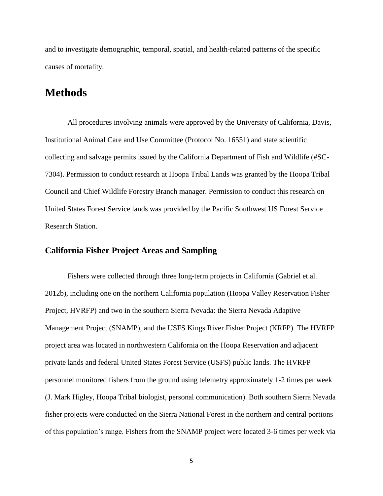and to investigate demographic, temporal, spatial, and health-related patterns of the specific causes of mortality.

# **Methods**

All procedures involving animals were approved by the University of California, Davis, Institutional Animal Care and Use Committee (Protocol No. 16551) and state scientific collecting and salvage permits issued by the California Department of Fish and Wildlife (#SC-7304). Permission to conduct research at Hoopa Tribal Lands was granted by the Hoopa Tribal Council and Chief Wildlife Forestry Branch manager. Permission to conduct this research on United States Forest Service lands was provided by the Pacific Southwest US Forest Service Research Station.

#### **California Fisher Project Areas and Sampling**

Fishers were collected through three long-term projects in California (Gabriel et al. 2012b), including one on the northern California population (Hoopa Valley Reservation Fisher Project, HVRFP) and two in the southern Sierra Nevada: the Sierra Nevada Adaptive Management Project (SNAMP), and the USFS Kings River Fisher Project (KRFP). The HVRFP project area was located in northwestern California on the Hoopa Reservation and adjacent private lands and federal United States Forest Service (USFS) public lands. The HVRFP personnel monitored fishers from the ground using telemetry approximately 1-2 times per week (J. Mark Higley, Hoopa Tribal biologist, personal communication). Both southern Sierra Nevada fisher projects were conducted on the Sierra National Forest in the northern and central portions of this population's range. Fishers from the SNAMP project were located 3-6 times per week via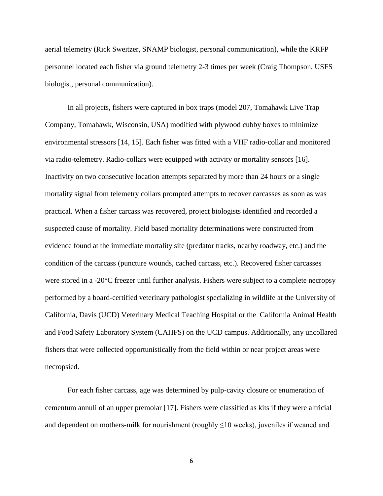aerial telemetry (Rick Sweitzer, SNAMP biologist, personal communication), while the KRFP personnel located each fisher via ground telemetry 2-3 times per week (Craig Thompson, USFS biologist, personal communication).

In all projects, fishers were captured in box traps (model 207, Tomahawk Live Trap Company, Tomahawk, Wisconsin, USA) modified with plywood cubby boxes to minimize environmental stressors [14, 15]. Each fisher was fitted with a VHF radio-collar and monitored via radio-telemetry. Radio-collars were equipped with activity or mortality sensors [16]. Inactivity on two consecutive location attempts separated by more than 24 hours or a single mortality signal from telemetry collars prompted attempts to recover carcasses as soon as was practical. When a fisher carcass was recovered, project biologists identified and recorded a suspected cause of mortality. Field based mortality determinations were constructed from evidence found at the immediate mortality site (predator tracks, nearby roadway, etc.) and the condition of the carcass (puncture wounds, cached carcass, etc.). Recovered fisher carcasses were stored in a -20°C freezer until further analysis. Fishers were subject to a complete necropsy performed by a board-certified veterinary pathologist specializing in wildlife at the University of California, Davis (UCD) Veterinary Medical Teaching Hospital or the California Animal Health and Food Safety Laboratory System (CAHFS) on the UCD campus. Additionally, any uncollared fishers that were collected opportunistically from the field within or near project areas were necropsied.

For each fisher carcass, age was determined by pulp-cavity closure or enumeration of cementum annuli of an upper premolar [17]. Fishers were classified as kits if they were altricial and dependent on mothers-milk for nourishment (roughly  $\leq 10$  weeks), juveniles if weaned and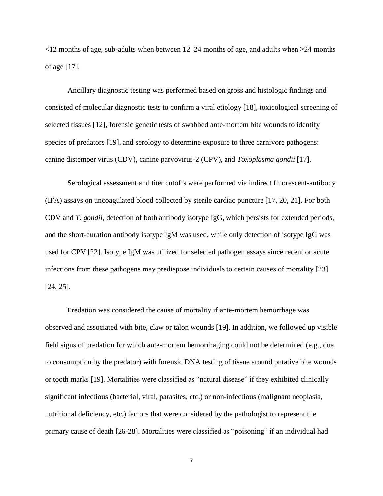$\leq$ 12 months of age, sub-adults when between 12–24 months of age, and adults when  $\geq$ 24 months of age [17].

Ancillary diagnostic testing was performed based on gross and histologic findings and consisted of molecular diagnostic tests to confirm a viral etiology [18], toxicological screening of selected tissues [12], forensic genetic tests of swabbed ante-mortem bite wounds to identify species of predators [19], and serology to determine exposure to three carnivore pathogens: canine distemper virus (CDV), canine parvovirus-2 (CPV), and *Toxoplasma gondii* [17].

Serological assessment and titer cutoffs were performed via indirect fluorescent-antibody (IFA) assays on uncoagulated blood collected by sterile cardiac puncture [17, 20, 21]. For both CDV and *T. gondii*, detection of both antibody isotype IgG, which persists for extended periods, and the short-duration antibody isotype IgM was used, while only detection of isotype IgG was used for CPV [22]. Isotype IgM was utilized for selected pathogen assays since recent or acute infections from these pathogens may predispose individuals to certain causes of mortality [23] [24, 25].

Predation was considered the cause of mortality if ante-mortem hemorrhage was observed and associated with bite, claw or talon wounds [19]. In addition, we followed up visible field signs of predation for which ante-mortem hemorrhaging could not be determined (e.g., due to consumption by the predator) with forensic DNA testing of tissue around putative bite wounds or tooth marks [19]. Mortalities were classified as "natural disease" if they exhibited clinically significant infectious (bacterial, viral, parasites, etc.) or non-infectious (malignant neoplasia, nutritional deficiency, etc.) factors that were considered by the pathologist to represent the primary cause of death [26-28]. Mortalities were classified as "poisoning" if an individual had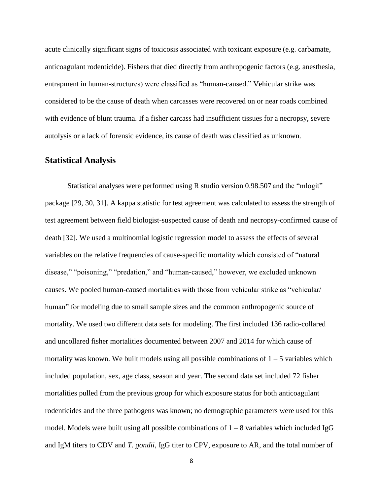acute clinically significant signs of toxicosis associated with toxicant exposure (e.g. carbamate, anticoagulant rodenticide). Fishers that died directly from anthropogenic factors (e.g. anesthesia, entrapment in human-structures) were classified as "human-caused." Vehicular strike was considered to be the cause of death when carcasses were recovered on or near roads combined with evidence of blunt trauma. If a fisher carcass had insufficient tissues for a necropsy, severe autolysis or a lack of forensic evidence, its cause of death was classified as unknown.

#### **Statistical Analysis**

Statistical analyses were performed using R studio version 0.98.507 and the "mlogit" package [29, 30, 31]. A kappa statistic for test agreement was calculated to assess the strength of test agreement between field biologist-suspected cause of death and necropsy-confirmed cause of death [32]. We used a multinomial logistic regression model to assess the effects of several variables on the relative frequencies of cause-specific mortality which consisted of "natural disease," "poisoning," "predation," and "human-caused," however, we excluded unknown causes. We pooled human-caused mortalities with those from vehicular strike as "vehicular/ human" for modeling due to small sample sizes and the common anthropogenic source of mortality. We used two different data sets for modeling. The first included 136 radio-collared and uncollared fisher mortalities documented between 2007 and 2014 for which cause of mortality was known. We built models using all possible combinations of  $1 - 5$  variables which included population, sex, age class, season and year. The second data set included 72 fisher mortalities pulled from the previous group for which exposure status for both anticoagulant rodenticides and the three pathogens was known; no demographic parameters were used for this model. Models were built using all possible combinations of  $1 - 8$  variables which included IgG and IgM titers to CDV and *T. gondii*, IgG titer to CPV, exposure to AR, and the total number of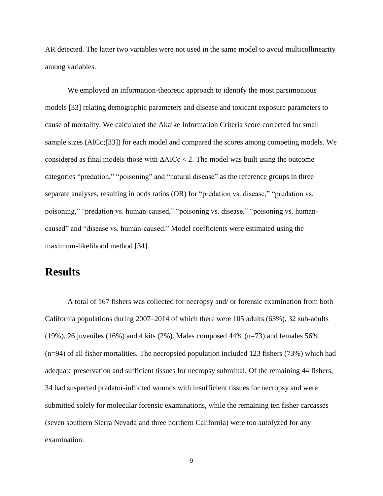AR detected. The latter two variables were not used in the same model to avoid multicollinearity among variables.

We employed an information-theoretic approach to identify the most parsimonious models [33] relating demographic parameters and disease and toxicant exposure parameters to cause of mortality. We calculated the Akaike Information Criteria score corrected for small sample sizes (AICc;[33]) for each model and compared the scores among competing models. We considered as final models those with ∆AICc < 2. The model was built using the outcome categories "predation," "poisoning" and "natural disease" as the reference groups in three separate analyses, resulting in odds ratios (OR) for "predation vs. disease," "predation vs. poisoning," "predation vs. human-caused," "poisoning vs. disease," "poisoning vs. humancaused" and "disease vs. human-caused." Model coefficients were estimated using the maximum-likelihood method [34].

## **Results**

A total of 167 fishers was collected for necropsy and/ or forensic examination from both California populations during 2007–2014 of which there were 105 adults (63%), 32 sub-adults (19%), 26 juveniles (16%) and 4 kits (2%). Males composed 44% ( $n=73$ ) and females 56% (n=94) of all fisher mortalities. The necropsied population included 123 fishers (73%) which had adequate preservation and sufficient tissues for necropsy submittal. Of the remaining 44 fishers, 34 had suspected predator-inflicted wounds with insufficient tissues for necropsy and were submitted solely for molecular forensic examinations, while the remaining ten fisher carcasses (seven southern Sierra Nevada and three northern California) were too autolyzed for any examination.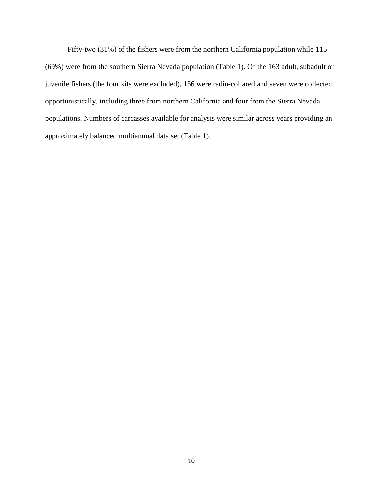Fifty-two (31%) of the fishers were from the northern California population while 115 (69%) were from the southern Sierra Nevada population (Table 1). Of the 163 adult, subadult or juvenile fishers (the four kits were excluded), 156 were radio-collared and seven were collected opportunistically, including three from northern California and four from the Sierra Nevada populations. Numbers of carcasses available for analysis were similar across years providing an approximately balanced multiannual data set (Table 1).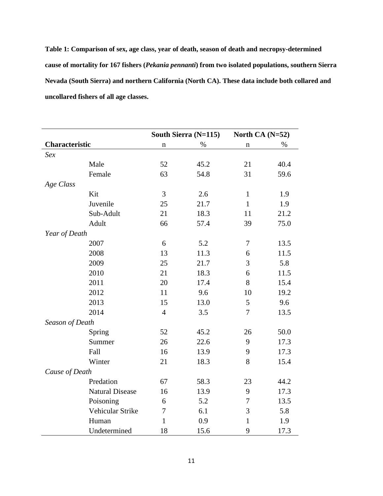**Table 1: Comparison of sex, age class, year of death, season of death and necropsy-determined cause of mortality for 167 fishers (***Pekania pennanti***) from two isolated populations, southern Sierra Nevada (South Sierra) and northern California (North CA). These data include both collared and uncollared fishers of all age classes.**

|                 |                        |                  | South Sierra (N=115) | North CA $(N=52)$ |      |  |  |  |
|-----------------|------------------------|------------------|----------------------|-------------------|------|--|--|--|
| Characteristic  |                        | n                | $\%$                 | $\mathbf n$       | $\%$ |  |  |  |
| Sex             |                        |                  |                      |                   |      |  |  |  |
|                 | Male                   | 52               | 45.2                 | 21                | 40.4 |  |  |  |
|                 | Female                 | 63               | 54.8                 | 31                | 59.6 |  |  |  |
| Age Class       |                        |                  |                      |                   |      |  |  |  |
|                 | Kit                    | 3                | 2.6                  | $\mathbf{1}$      | 1.9  |  |  |  |
|                 | Juvenile               | 25               | 21.7                 | $\mathbf{1}$      | 1.9  |  |  |  |
|                 | Sub-Adult              | 21               | 18.3                 | 11                | 21.2 |  |  |  |
|                 | Adult                  | 66               | 57.4                 | 39                | 75.0 |  |  |  |
| Year of Death   |                        |                  |                      |                   |      |  |  |  |
|                 | 2007                   | 6                | 5.2                  | $\boldsymbol{7}$  | 13.5 |  |  |  |
|                 | 2008                   | 13               | 11.3                 | 6                 | 11.5 |  |  |  |
|                 | 2009                   | 25               | 21.7                 | 3                 | 5.8  |  |  |  |
|                 | 2010                   | 21               | 18.3                 | 6                 | 11.5 |  |  |  |
|                 | 2011                   | 20               | 17.4                 | 8                 | 15.4 |  |  |  |
|                 | 2012                   | 11               | 9.6                  | 10                | 19.2 |  |  |  |
|                 | 2013                   | 15               | 13.0                 | 5                 | 9.6  |  |  |  |
|                 | 2014                   | $\overline{4}$   | 3.5                  | $\tau$            | 13.5 |  |  |  |
| Season of Death |                        |                  |                      |                   |      |  |  |  |
|                 | Spring                 | 52               | 45.2                 | 26                | 50.0 |  |  |  |
|                 | Summer                 | 26               | 22.6                 | 9                 | 17.3 |  |  |  |
|                 | Fall                   | 16               | 13.9                 | 9                 | 17.3 |  |  |  |
|                 | Winter                 | 21               | 18.3                 | 8                 | 15.4 |  |  |  |
| Cause of Death  |                        |                  |                      |                   |      |  |  |  |
|                 | Predation              | 67               | 58.3                 | 23                | 44.2 |  |  |  |
|                 | <b>Natural Disease</b> | 16               | 13.9                 | 9                 | 17.3 |  |  |  |
|                 | Poisoning              | $\boldsymbol{6}$ | 5.2                  | $\boldsymbol{7}$  | 13.5 |  |  |  |
|                 | Vehicular Strike       | 7                | 6.1                  | 3                 | 5.8  |  |  |  |
|                 | Human                  | $\mathbf{1}$     | 0.9                  | $\mathbf{1}$      | 1.9  |  |  |  |
|                 | Undetermined           | 18               | 15.6                 | 9<br>17.3         |      |  |  |  |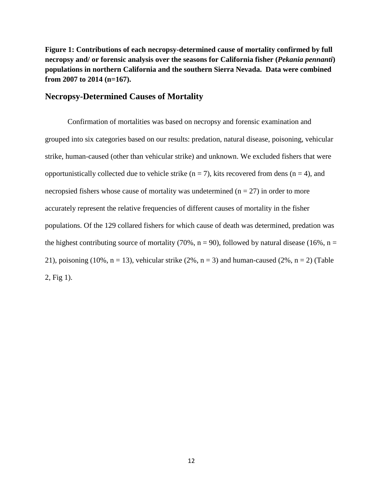**Figure 1: Contributions of each necropsy-determined cause of mortality confirmed by full necropsy and/ or forensic analysis over the seasons for California fisher (***Pekania pennanti***) populations in northern California and the southern Sierra Nevada. Data were combined from 2007 to 2014 (n=167).** 

#### **Necropsy-Determined Causes of Mortality**

Confirmation of mortalities was based on necropsy and forensic examination and grouped into six categories based on our results: predation, natural disease, poisoning, vehicular strike, human-caused (other than vehicular strike) and unknown. We excluded fishers that were opportunistically collected due to vehicle strike ( $n = 7$ ), kits recovered from dens ( $n = 4$ ), and necropsied fishers whose cause of mortality was undetermined ( $n = 27$ ) in order to more accurately represent the relative frequencies of different causes of mortality in the fisher populations. Of the 129 collared fishers for which cause of death was determined, predation was the highest contributing source of mortality (70%,  $n = 90$ ), followed by natural disease (16%,  $n =$ 21), poisoning (10%,  $n = 13$ ), vehicular strike (2%,  $n = 3$ ) and human-caused (2%,  $n = 2$ ) (Table 2, Fig 1).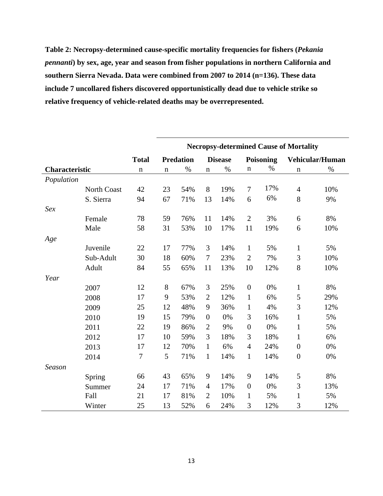**Table 2: Necropsy-determined cause-specific mortality frequencies for fishers (***Pekania pennanti***) by sex, age, year and season from fisher populations in northern California and southern Sierra Nevada. Data were combined from 2007 to 2014 (n=136). These data include 7 uncollared fishers discovered opportunistically dead due to vehicle strike so relative frequency of vehicle-related deaths may be overrepresented.**

|                |                    |                  | <b>Necropsy-determined Cause of Mortality</b> |                  |                  |                |                  |                  |                  |                        |  |  |  |
|----------------|--------------------|------------------|-----------------------------------------------|------------------|------------------|----------------|------------------|------------------|------------------|------------------------|--|--|--|
|                |                    | <b>Total</b>     |                                               | <b>Predation</b> |                  | <b>Disease</b> |                  | <b>Poisoning</b> |                  | <b>Vehicular/Human</b> |  |  |  |
| Characteristic |                    | $\mathbf n$      | $\mathbf n$                                   | $\%$             | $\mathbf n$      | $\%$           | $\mathbf n$      | $\%$             | $\mathbf n$      | $\%$                   |  |  |  |
| Population     |                    |                  |                                               |                  |                  |                |                  |                  |                  |                        |  |  |  |
|                | <b>North Coast</b> | 42               | 23                                            | 54%              | 8                | 19%            | $\boldsymbol{7}$ | 17%              | $\overline{4}$   | 10%                    |  |  |  |
|                | S. Sierra          | 94               | 67                                            | 71%              | 13               | 14%            | 6                | 6%               | 8                | 9%                     |  |  |  |
| Sex            |                    |                  |                                               |                  |                  |                |                  |                  |                  |                        |  |  |  |
|                | Female             | 78               | 59                                            | 76%              | 11               | 14%            | $\overline{2}$   | 3%               | 6                | 8%                     |  |  |  |
|                | Male               | 58               | 31                                            | 53%              | 10               | 17%            | 11               | 19%              | 6                | 10%                    |  |  |  |
| Age            |                    |                  |                                               |                  |                  |                |                  |                  |                  |                        |  |  |  |
|                | Juvenile           | 22               | 17                                            | 77%              | 3                | 14%            | $\mathbf{1}$     | 5%               | $\mathbf{1}$     | 5%                     |  |  |  |
|                | Sub-Adult          | 30               | 18                                            | 60%              | $\tau$           | 23%            | $\overline{2}$   | 7%               | 3                | 10%                    |  |  |  |
|                | Adult              | 84               | 55                                            | 65%              | 11               | 13%            | 10               | 12%              | 8                | 10%                    |  |  |  |
| Year           |                    |                  |                                               |                  |                  |                |                  |                  |                  |                        |  |  |  |
|                | 2007               | 12               | 8                                             | 67%              | 3                | 25%            | $\boldsymbol{0}$ | 0%               | $\mathbf{1}$     | 8%                     |  |  |  |
|                | 2008               | 17               | 9                                             | 53%              | $\mathfrak{2}$   | 12%            | $\mathbf{1}$     | 6%               | $\mathfrak s$    | 29%                    |  |  |  |
|                | 2009               | 25               | 12                                            | 48%              | 9                | 36%            | $\mathbf{1}$     | 4%               | 3                | 12%                    |  |  |  |
|                | 2010               | 19               | 15                                            | 79%              | $\boldsymbol{0}$ | 0%             | 3                | 16%              | $\mathbf{1}$     | 5%                     |  |  |  |
|                | 2011               | 22               | 19                                            | 86%              | $\mathfrak{2}$   | 9%             | $\boldsymbol{0}$ | 0%               | $\mathbf{1}$     | 5%                     |  |  |  |
|                | 2012               | 17               | 10                                            | 59%              | 3                | 18%            | 3                | 18%              | $\mathbf{1}$     | 6%                     |  |  |  |
|                | 2013               | 17               | 12                                            | 70%              | $\mathbf{1}$     | 6%             | $\overline{4}$   | 24%              | $\boldsymbol{0}$ | 0%                     |  |  |  |
|                | 2014               | $\boldsymbol{7}$ | 5                                             | 71%              | $\mathbf{1}$     | 14%            | $\mathbf{1}$     | 14%              | $\boldsymbol{0}$ | 0%                     |  |  |  |
| Season         |                    |                  |                                               |                  |                  |                |                  |                  |                  |                        |  |  |  |
|                | Spring             | 66               | 43                                            | 65%              | 9                | 14%            | 9                | 14%              | 5                | 8%                     |  |  |  |
|                | Summer             | 24               | 17                                            | 71%              | $\overline{4}$   | 17%            | $\boldsymbol{0}$ | 0%               | 3                | 13%                    |  |  |  |
|                | Fall               | 21               | 17                                            | 81%              | $\overline{2}$   | 10%            | $\mathbf{1}$     | 5%               | $\mathbf{1}$     | 5%                     |  |  |  |
|                | Winter             | 25               | 13                                            | 52%              | 6                | 24%            | 3                | 12%              | 3                | 12%                    |  |  |  |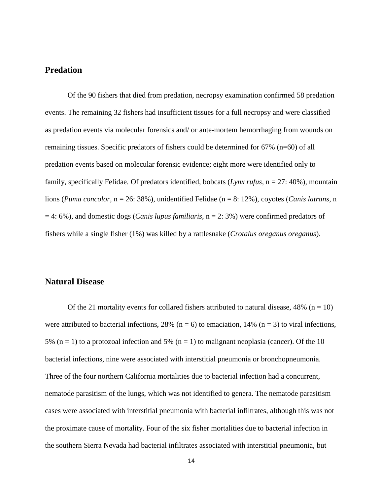#### **Predation**

Of the 90 fishers that died from predation, necropsy examination confirmed 58 predation events. The remaining 32 fishers had insufficient tissues for a full necropsy and were classified as predation events via molecular forensics and/ or ante-mortem hemorrhaging from wounds on remaining tissues. Specific predators of fishers could be determined for 67% (n=60) of all predation events based on molecular forensic evidence; eight more were identified only to family, specifically Felidae. Of predators identified, bobcats (*Lynx rufus*, n = 27: 40%), mountain lions (*Puma concolor*, n = 26: 38%), unidentified Felidae (n = 8: 12%), coyotes (*Canis latrans*, n = 4: 6%), and domestic dogs (*Canis lupus familiaris*, n = 2: 3%) were confirmed predators of fishers while a single fisher (1%) was killed by a rattlesnake (*Crotalus oreganus oreganus*).

#### **Natural Disease**

Of the 21 mortality events for collared fishers attributed to natural disease,  $48\%$  (n = 10) were attributed to bacterial infections, 28% ( $n = 6$ ) to emaciation, 14% ( $n = 3$ ) to viral infections, 5% (n = 1) to a protozoal infection and 5% (n = 1) to malignant neoplasia (cancer). Of the 10 bacterial infections, nine were associated with interstitial pneumonia or bronchopneumonia. Three of the four northern California mortalities due to bacterial infection had a concurrent, nematode parasitism of the lungs, which was not identified to genera. The nematode parasitism cases were associated with interstitial pneumonia with bacterial infiltrates, although this was not the proximate cause of mortality. Four of the six fisher mortalities due to bacterial infection in the southern Sierra Nevada had bacterial infiltrates associated with interstitial pneumonia, but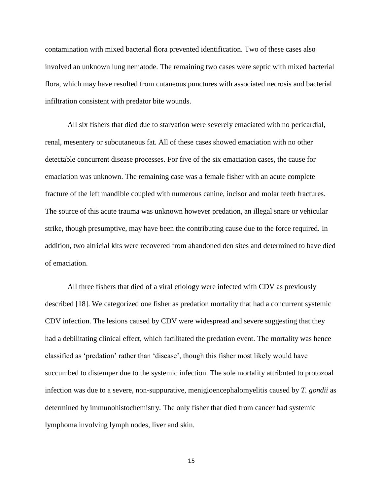contamination with mixed bacterial flora prevented identification. Two of these cases also involved an unknown lung nematode. The remaining two cases were septic with mixed bacterial flora, which may have resulted from cutaneous punctures with associated necrosis and bacterial infiltration consistent with predator bite wounds.

All six fishers that died due to starvation were severely emaciated with no pericardial, renal, mesentery or subcutaneous fat. All of these cases showed emaciation with no other detectable concurrent disease processes. For five of the six emaciation cases, the cause for emaciation was unknown. The remaining case was a female fisher with an acute complete fracture of the left mandible coupled with numerous canine, incisor and molar teeth fractures. The source of this acute trauma was unknown however predation, an illegal snare or vehicular strike, though presumptive, may have been the contributing cause due to the force required. In addition, two altricial kits were recovered from abandoned den sites and determined to have died of emaciation.

All three fishers that died of a viral etiology were infected with CDV as previously described [18]. We categorized one fisher as predation mortality that had a concurrent systemic CDV infection. The lesions caused by CDV were widespread and severe suggesting that they had a debilitating clinical effect, which facilitated the predation event. The mortality was hence classified as 'predation' rather than 'disease', though this fisher most likely would have succumbed to distemper due to the systemic infection. The sole mortality attributed to protozoal infection was due to a severe, non-suppurative, menigioencephalomyelitis caused by *T. gondii* as determined by immunohistochemistry. The only fisher that died from cancer had systemic lymphoma involving lymph nodes, liver and skin.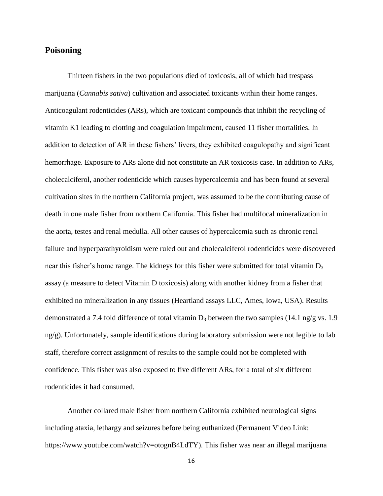## **Poisoning**

Thirteen fishers in the two populations died of toxicosis, all of which had trespass marijuana (*Cannabis sativa*) cultivation and associated toxicants within their home ranges. Anticoagulant rodenticides (ARs), which are toxicant compounds that inhibit the recycling of vitamin K1 leading to clotting and coagulation impairment, caused 11 fisher mortalities. In addition to detection of AR in these fishers' livers, they exhibited coagulopathy and significant hemorrhage. Exposure to ARs alone did not constitute an AR toxicosis case. In addition to ARs, cholecalciferol, another rodenticide which causes hypercalcemia and has been found at several cultivation sites in the northern California project, was assumed to be the contributing cause of death in one male fisher from northern California. This fisher had multifocal mineralization in the aorta, testes and renal medulla. All other causes of hypercalcemia such as chronic renal failure and hyperparathyroidism were ruled out and cholecalciferol rodenticides were discovered near this fisher's home range. The kidneys for this fisher were submitted for total vitamin  $D_3$ assay (a measure to detect Vitamin D toxicosis) along with another kidney from a fisher that exhibited no mineralization in any tissues (Heartland assays LLC, Ames, Iowa, USA). Results demonstrated a 7.4 fold difference of total vitamin  $D_3$  between the two samples (14.1 ng/g vs. 1.9) ng/g). Unfortunately, sample identifications during laboratory submission were not legible to lab staff, therefore correct assignment of results to the sample could not be completed with confidence. This fisher was also exposed to five different ARs, for a total of six different rodenticides it had consumed.

Another collared male fisher from northern California exhibited neurological signs including ataxia, lethargy and seizures before being euthanized (Permanent Video Link: https://www.youtube.com/watch?v=otognB4LdTY). This fisher was near an illegal marijuana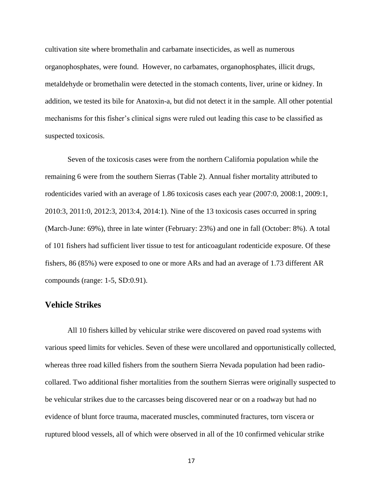cultivation site where bromethalin and carbamate insecticides, as well as numerous organophosphates, were found. However, no carbamates, organophosphates, illicit drugs, metaldehyde or bromethalin were detected in the stomach contents, liver, urine or kidney. In addition, we tested its bile for Anatoxin-a, but did not detect it in the sample. All other potential mechanisms for this fisher's clinical signs were ruled out leading this case to be classified as suspected toxicosis.

Seven of the toxicosis cases were from the northern California population while the remaining 6 were from the southern Sierras (Table 2). Annual fisher mortality attributed to rodenticides varied with an average of 1.86 toxicosis cases each year (2007:0, 2008:1, 2009:1, 2010:3, 2011:0, 2012:3, 2013:4, 2014:1). Nine of the 13 toxicosis cases occurred in spring (March-June: 69%), three in late winter (February: 23%) and one in fall (October: 8%). A total of 101 fishers had sufficient liver tissue to test for anticoagulant rodenticide exposure. Of these fishers, 86 (85%) were exposed to one or more ARs and had an average of 1.73 different AR compounds (range: 1-5, SD:0.91).

#### **Vehicle Strikes**

All 10 fishers killed by vehicular strike were discovered on paved road systems with various speed limits for vehicles. Seven of these were uncollared and opportunistically collected, whereas three road killed fishers from the southern Sierra Nevada population had been radiocollared. Two additional fisher mortalities from the southern Sierras were originally suspected to be vehicular strikes due to the carcasses being discovered near or on a roadway but had no evidence of blunt force trauma, macerated muscles, comminuted fractures, torn viscera or ruptured blood vessels, all of which were observed in all of the 10 confirmed vehicular strike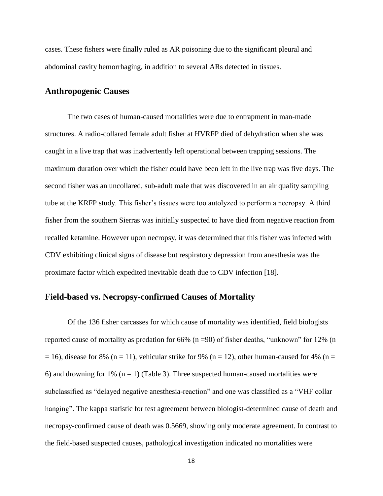cases. These fishers were finally ruled as AR poisoning due to the significant pleural and abdominal cavity hemorrhaging, in addition to several ARs detected in tissues.

### **Anthropogenic Causes**

The two cases of human-caused mortalities were due to entrapment in man-made structures. A radio-collared female adult fisher at HVRFP died of dehydration when she was caught in a live trap that was inadvertently left operational between trapping sessions. The maximum duration over which the fisher could have been left in the live trap was five days. The second fisher was an uncollared, sub-adult male that was discovered in an air quality sampling tube at the KRFP study. This fisher's tissues were too autolyzed to perform a necropsy. A third fisher from the southern Sierras was initially suspected to have died from negative reaction from recalled ketamine. However upon necropsy, it was determined that this fisher was infected with CDV exhibiting clinical signs of disease but respiratory depression from anesthesia was the proximate factor which expedited inevitable death due to CDV infection [18].

### **Field-based vs. Necropsy-confirmed Causes of Mortality**

Of the 136 fisher carcasses for which cause of mortality was identified, field biologists reported cause of mortality as predation for 66% (n =90) of fisher deaths, "unknown" for 12% (n  $= 16$ ), disease for 8% (n = 11), vehicular strike for 9% (n = 12), other human-caused for 4% (n = 6) and drowning for 1% ( $n = 1$ ) (Table 3). Three suspected human-caused mortalities were subclassified as "delayed negative anesthesia-reaction" and one was classified as a "VHF collar hanging". The kappa statistic for test agreement between biologist-determined cause of death and necropsy-confirmed cause of death was 0.5669, showing only moderate agreement. In contrast to the field-based suspected causes, pathological investigation indicated no mortalities were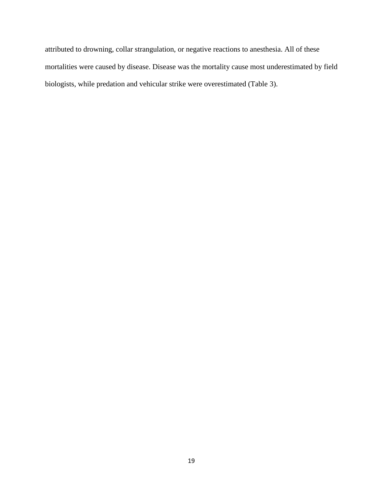attributed to drowning, collar strangulation, or negative reactions to anesthesia. All of these mortalities were caused by disease. Disease was the mortality cause most underestimated by field biologists, while predation and vehicular strike were overestimated (Table 3).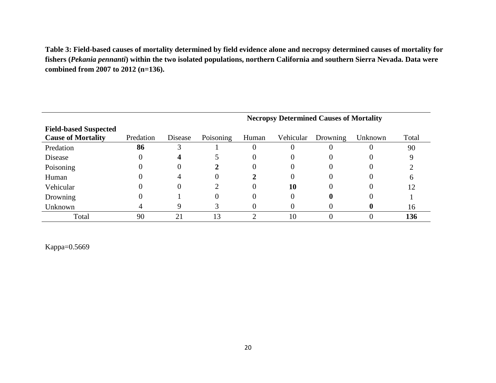**Table 3: Field-based causes of mortality determined by field evidence alone and necropsy determined causes of mortality for fishers (***Pekania pennanti***) within the two isolated populations, northern California and southern Sierra Nevada. Data were combined from 2007 to 2012 (n=136).** 

|                              | <b>Necropsy Determined Causes of Mortality</b> |         |           |       |           |          |         |       |  |  |  |  |  |  |
|------------------------------|------------------------------------------------|---------|-----------|-------|-----------|----------|---------|-------|--|--|--|--|--|--|
| <b>Field-based Suspected</b> |                                                |         |           |       |           |          |         |       |  |  |  |  |  |  |
| <b>Cause of Mortality</b>    | Predation                                      | Disease | Poisoning | Human | Vehicular | Drowning | Unknown | Total |  |  |  |  |  |  |
| Predation                    | 86                                             | 3       |           |       | U         |          |         | 90    |  |  |  |  |  |  |
| Disease                      | 0                                              | 4       |           |       | O         | 0        |         |       |  |  |  |  |  |  |
| Poisoning                    |                                                | 0       |           | 0     | 0         | 0        |         |       |  |  |  |  |  |  |
| Human                        |                                                | 4       |           |       | $\theta$  | 0        |         |       |  |  |  |  |  |  |
| Vehicular                    |                                                | 0       |           |       | 10        | $\theta$ |         | 12    |  |  |  |  |  |  |
| Drowning                     |                                                |         |           |       | $\theta$  |          |         |       |  |  |  |  |  |  |
| Unknown                      |                                                | 9       |           |       | U         | $^{(1)}$ |         | 16    |  |  |  |  |  |  |
| Total                        | 90                                             | 21      | 13        |       | 10        |          |         | 136   |  |  |  |  |  |  |

Kappa=0.5669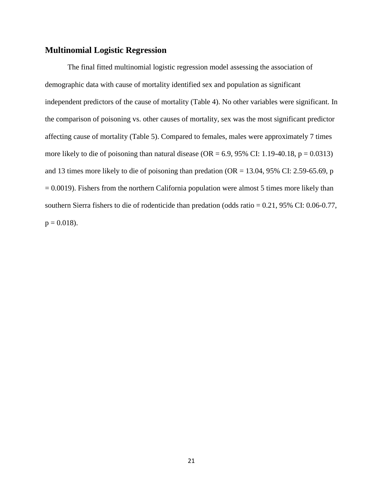### **Multinomial Logistic Regression**

The final fitted multinomial logistic regression model assessing the association of demographic data with cause of mortality identified sex and population as significant independent predictors of the cause of mortality (Table 4). No other variables were significant. In the comparison of poisoning vs. other causes of mortality, sex was the most significant predictor affecting cause of mortality (Table 5). Compared to females, males were approximately 7 times more likely to die of poisoning than natural disease (OR =  $6.9$ ,  $95\%$  CI: 1.19-40.18, p = 0.0313) and 13 times more likely to die of poisoning than predation ( $OR = 13.04$ , 95% CI: 2.59-65.69, p  $= 0.0019$ ). Fishers from the northern California population were almost 5 times more likely than southern Sierra fishers to die of rodenticide than predation (odds ratio = 0.21, 95% CI: 0.06-0.77,  $p = 0.018$ .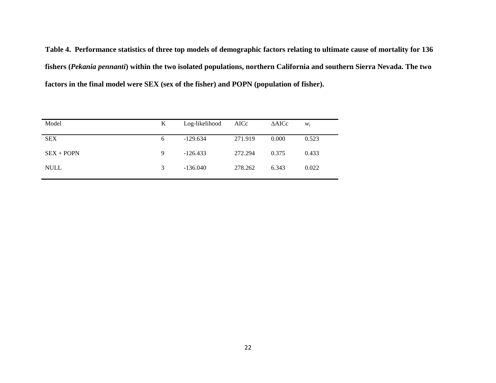**Table 4. Performance statistics of three top models of demographic factors relating to ultimate cause of mortality for 136 fishers (***Pekania pennanti***) within the two isolated populations, northern California and southern Sierra Nevada. The two factors in the final model were SEX (sex of the fisher) and POPN (population of fisher).**

| Model        | Log-likelihood<br>K |            | AICc    | $\triangle AICc$ | $W_i$ |
|--------------|---------------------|------------|---------|------------------|-------|
| <b>SEX</b>   | 6                   | $-129.634$ | 271.919 | 0.000            | 0.523 |
| $SEX + POPN$ | 9                   | $-126.433$ | 272.294 | 0.375            | 0.433 |
| <b>NULL</b>  | 3                   | $-136.040$ | 278.262 | 6.343            | 0.022 |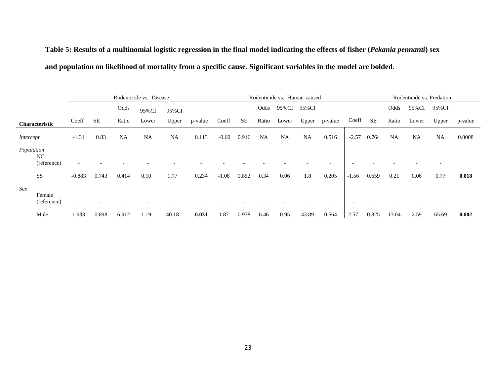# **Table 5: Results of a multinomial logistic regression in the final model indicating the effects of fisher (***Pekania pennanti***) sex and population on likelihood of mortality from a specific cause. Significant variables in the model are bolded.**

|            |                       | Rodenticide vs. Disease |       |           |           |           |         |         | Rodenticide vs. Human-caused |           |           |           |         | Rodenticide vs. Predation |       |           |           |           |         |
|------------|-----------------------|-------------------------|-------|-----------|-----------|-----------|---------|---------|------------------------------|-----------|-----------|-----------|---------|---------------------------|-------|-----------|-----------|-----------|---------|
|            |                       |                         |       | Odds      | 95%CI     | 95%CI     |         |         |                              | Odds      | 95%CI     | 95%CI     |         |                           |       | Odds      | 95%CI     | 95%CI     |         |
|            | Characteristic        | Coeff                   | SЕ    | Ratio     | Lower     | Upper     | p-value | Coeff   | <b>SE</b>                    | Ratio     | Lower     | Upper     | p-value | Coeff                     | SE    | Ratio     | Lower     | Upper     | p-value |
| Intercept  |                       | $-1.31$                 | 0.83  | <b>NA</b> | <b>NA</b> | <b>NA</b> | 0.113   | $-0.60$ | 0.916                        | <b>NA</b> | <b>NA</b> | <b>NA</b> | 0.516   | $-2.57$                   | 0.764 | <b>NA</b> | <b>NA</b> | <b>NA</b> | 0.0008  |
| Population | NC.<br>(reference)    |                         |       |           |           |           |         |         |                              |           |           |           |         |                           |       |           |           |           |         |
|            | SS                    | $-0.883$                | 0.743 | 0.414     | 0.10      | 1.77      | 0.234   | $-1.08$ | 0.852                        | 0.34      | 0.06      | 1.8       | 0.205   | $-1.56$                   | 0.659 | 0.21      | 0.06      | 0.77      | 0.018   |
| Sex        | Female<br>(reference) |                         |       |           |           |           |         |         |                              |           |           |           |         |                           |       |           |           |           |         |
|            | Male                  | 1.933                   | 0.898 | 6.912     | 1.19      | 40.18     | 0.031   | 1.87    | 0.978                        | 6.46      | 0.95      | 43.89     | 0.564   | 2.57                      | 0.825 | 13.04     | 2.59      | 65.69     | 0.002   |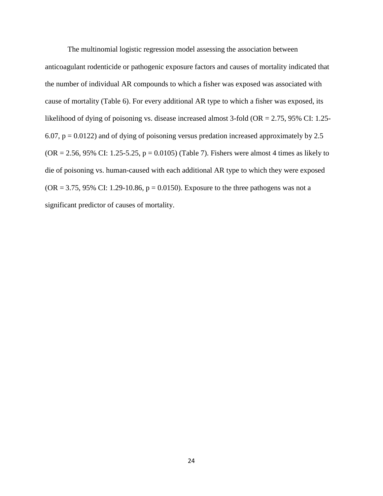The multinomial logistic regression model assessing the association between anticoagulant rodenticide or pathogenic exposure factors and causes of mortality indicated that the number of individual AR compounds to which a fisher was exposed was associated with cause of mortality (Table 6). For every additional AR type to which a fisher was exposed, its likelihood of dying of poisoning vs. disease increased almost 3-fold (OR = 2.75, 95% CI: 1.25-6.07,  $p = 0.0122$ ) and of dying of poisoning versus predation increased approximately by 2.5  $(OR = 2.56, 95\% \text{ CI: } 1.25 - 5.25, p = 0.0105)$  (Table 7). Fishers were almost 4 times as likely to die of poisoning vs. human-caused with each additional AR type to which they were exposed  $(OR = 3.75, 95\% \text{ CI: } 1.29 - 10.86, p = 0.0150)$ . Exposure to the three pathogens was not a significant predictor of causes of mortality.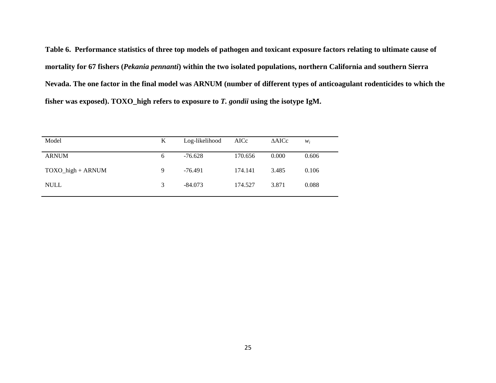**Table 6. Performance statistics of three top models of pathogen and toxicant exposure factors relating to ultimate cause of mortality for 67 fishers (***Pekania pennanti***) within the two isolated populations, northern California and southern Sierra Nevada. The one factor in the final model was ARNUM (number of different types of anticoagulant rodenticides to which the fisher was exposed). TOXO\_high refers to exposure to** *T. gondii* **using the isotype IgM.**

| Model                 | K | Log-likelihood | AICc    | $\triangle$ AICc | $W_i$ |
|-----------------------|---|----------------|---------|------------------|-------|
| <b>ARNUM</b>          | 6 | -76.628        | 170.656 | 0.000            | 0.606 |
| $TOXO_{high} + ARNUM$ | 9 | $-76.491$      | 174.141 | 3.485            | 0.106 |
| <b>NULL</b>           | 3 | $-84.073$      | 174.527 | 3.871            | 0.088 |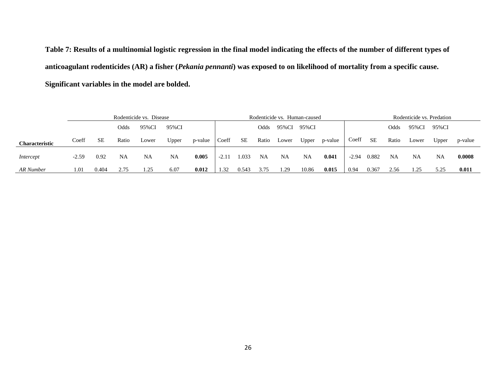**Table 7: Results of a multinomial logistic regression in the final model indicating the effects of the number of different types of anticoagulant rodenticides (AR) a fisher (***Pekania pennanti***) was exposed to on likelihood of mortality from a specific cause. Significant variables in the model are bolded.**

|                       | Rodenticide vs. Disease |       |       |       |       |         | Rodenticide vs. Human-caused |       |       |       |       |         |         |       | Rodenticide vs. Predation |       |       |         |  |
|-----------------------|-------------------------|-------|-------|-------|-------|---------|------------------------------|-------|-------|-------|-------|---------|---------|-------|---------------------------|-------|-------|---------|--|
|                       |                         |       | Odds  | 95%CI | 95%CI |         |                              |       | Odds  | 95%CI | 95%CI |         |         |       | Odds                      | 95%CI | 95%CI |         |  |
| <b>Characteristic</b> | Coeff                   | SЕ    | Ratio | Lower | Upper | p-value | Coeff                        | SЕ    | Ratio | Lower | Upper | p-value | Coeff   | SE    | Ratio                     | Lower | Upper | p-value |  |
| Intercept             | $-2.59$                 | 0.92  | NA    | NA    | NA    | 0.005   | $-2.11$                      | .033  | NA    | NA    | NA    | 0.041   | $-2.94$ | 0.882 | NA                        | NA    | NA    | 0.0008  |  |
| AR Number             | 1.01                    | 0.404 | 2.75  | 1.25  | 6.07  | 0.012   | 1.32                         | 0.543 | 3.75  | 1.29  | 10.86 | 0.015   | 0.94    | 0.367 | 2.56                      | 1.25  | 5.25  | 0.011   |  |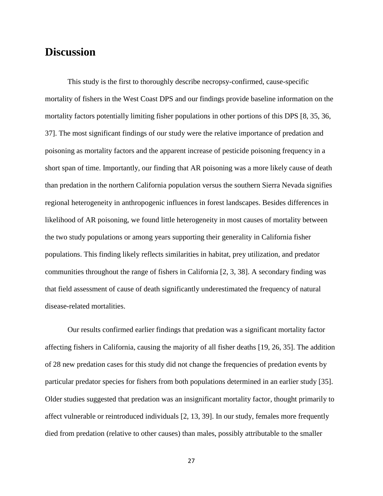# **Discussion**

This study is the first to thoroughly describe necropsy-confirmed, cause-specific mortality of fishers in the West Coast DPS and our findings provide baseline information on the mortality factors potentially limiting fisher populations in other portions of this DPS [8, 35, 36, 37]. The most significant findings of our study were the relative importance of predation and poisoning as mortality factors and the apparent increase of pesticide poisoning frequency in a short span of time. Importantly, our finding that AR poisoning was a more likely cause of death than predation in the northern California population versus the southern Sierra Nevada signifies regional heterogeneity in anthropogenic influences in forest landscapes. Besides differences in likelihood of AR poisoning, we found little heterogeneity in most causes of mortality between the two study populations or among years supporting their generality in California fisher populations. This finding likely reflects similarities in habitat, prey utilization, and predator communities throughout the range of fishers in California [2, 3, 38]. A secondary finding was that field assessment of cause of death significantly underestimated the frequency of natural disease-related mortalities.

Our results confirmed earlier findings that predation was a significant mortality factor affecting fishers in California, causing the majority of all fisher deaths [19, 26, 35]. The addition of 28 new predation cases for this study did not change the frequencies of predation events by particular predator species for fishers from both populations determined in an earlier study [35]. Older studies suggested that predation was an insignificant mortality factor, thought primarily to affect vulnerable or reintroduced individuals [2, 13, 39]. In our study, females more frequently died from predation (relative to other causes) than males, possibly attributable to the smaller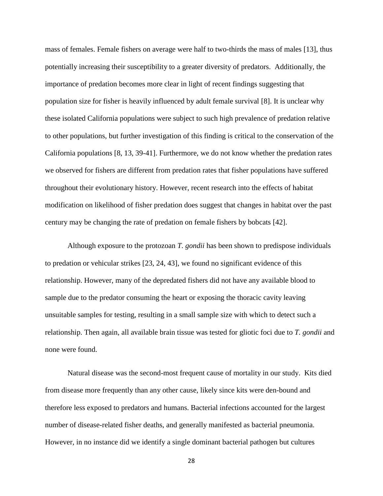mass of females. Female fishers on average were half to two-thirds the mass of males [13], thus potentially increasing their susceptibility to a greater diversity of predators. Additionally, the importance of predation becomes more clear in light of recent findings suggesting that population size for fisher is heavily influenced by adult female survival [8]. It is unclear why these isolated California populations were subject to such high prevalence of predation relative to other populations, but further investigation of this finding is critical to the conservation of the California populations [8, 13, 39-41]. Furthermore, we do not know whether the predation rates we observed for fishers are different from predation rates that fisher populations have suffered throughout their evolutionary history. However, recent research into the effects of habitat modification on likelihood of fisher predation does suggest that changes in habitat over the past century may be changing the rate of predation on female fishers by bobcats [42].

Although exposure to the protozoan *T. gondii* has been shown to predispose individuals to predation or vehicular strikes [23, 24, 43], we found no significant evidence of this relationship. However, many of the depredated fishers did not have any available blood to sample due to the predator consuming the heart or exposing the thoracic cavity leaving unsuitable samples for testing, resulting in a small sample size with which to detect such a relationship. Then again, all available brain tissue was tested for gliotic foci due to *T. gondii* and none were found.

Natural disease was the second-most frequent cause of mortality in our study. Kits died from disease more frequently than any other cause, likely since kits were den-bound and therefore less exposed to predators and humans. Bacterial infections accounted for the largest number of disease-related fisher deaths, and generally manifested as bacterial pneumonia. However, in no instance did we identify a single dominant bacterial pathogen but cultures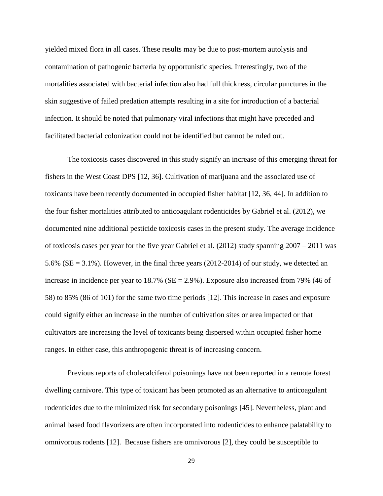yielded mixed flora in all cases. These results may be due to post-mortem autolysis and contamination of pathogenic bacteria by opportunistic species. Interestingly, two of the mortalities associated with bacterial infection also had full thickness, circular punctures in the skin suggestive of failed predation attempts resulting in a site for introduction of a bacterial infection. It should be noted that pulmonary viral infections that might have preceded and facilitated bacterial colonization could not be identified but cannot be ruled out.

The toxicosis cases discovered in this study signify an increase of this emerging threat for fishers in the West Coast DPS [12, 36]. Cultivation of marijuana and the associated use of toxicants have been recently documented in occupied fisher habitat [12, 36, 44]. In addition to the four fisher mortalities attributed to anticoagulant rodenticides by Gabriel et al. (2012), we documented nine additional pesticide toxicosis cases in the present study. The average incidence of toxicosis cases per year for the five year Gabriel et al. (2012) study spanning 2007 – 2011 was 5.6% ( $SE = 3.1\%$ ). However, in the final three years (2012-2014) of our study, we detected an increase in incidence per year to  $18.7\%$  (SE = 2.9%). Exposure also increased from 79% (46 of 58) to 85% (86 of 101) for the same two time periods [12]. This increase in cases and exposure could signify either an increase in the number of cultivation sites or area impacted or that cultivators are increasing the level of toxicants being dispersed within occupied fisher home ranges. In either case, this anthropogenic threat is of increasing concern.

Previous reports of cholecalciferol poisonings have not been reported in a remote forest dwelling carnivore. This type of toxicant has been promoted as an alternative to anticoagulant rodenticides due to the minimized risk for secondary poisonings [45]. Nevertheless, plant and animal based food flavorizers are often incorporated into rodenticides to enhance palatability to omnivorous rodents [12]. Because fishers are omnivorous [2], they could be susceptible to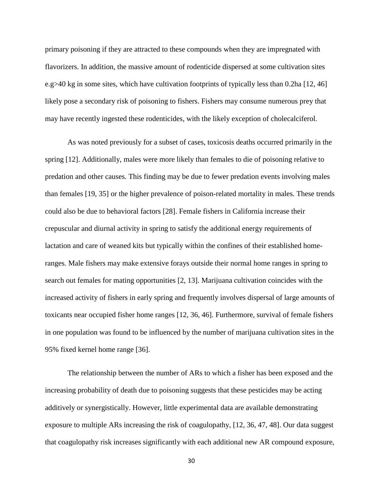primary poisoning if they are attracted to these compounds when they are impregnated with flavorizers. In addition, the massive amount of rodenticide dispersed at some cultivation sites e.g>40 kg in some sites, which have cultivation footprints of typically less than 0.2ha [12, 46] likely pose a secondary risk of poisoning to fishers. Fishers may consume numerous prey that may have recently ingested these rodenticides, with the likely exception of cholecalciferol.

As was noted previously for a subset of cases, toxicosis deaths occurred primarily in the spring [12]. Additionally, males were more likely than females to die of poisoning relative to predation and other causes. This finding may be due to fewer predation events involving males than females [19, 35] or the higher prevalence of poison-related mortality in males. These trends could also be due to behavioral factors [28]. Female fishers in California increase their crepuscular and diurnal activity in spring to satisfy the additional energy requirements of lactation and care of weaned kits but typically within the confines of their established homeranges. Male fishers may make extensive forays outside their normal home ranges in spring to search out females for mating opportunities [2, 13]. Marijuana cultivation coincides with the increased activity of fishers in early spring and frequently involves dispersal of large amounts of toxicants near occupied fisher home ranges [12, 36, 46]. Furthermore, survival of female fishers in one population was found to be influenced by the number of marijuana cultivation sites in the 95% fixed kernel home range [36].

The relationship between the number of ARs to which a fisher has been exposed and the increasing probability of death due to poisoning suggests that these pesticides may be acting additively or synergistically. However, little experimental data are available demonstrating exposure to multiple ARs increasing the risk of coagulopathy, [12, 36, 47, 48]. Our data suggest that coagulopathy risk increases significantly with each additional new AR compound exposure,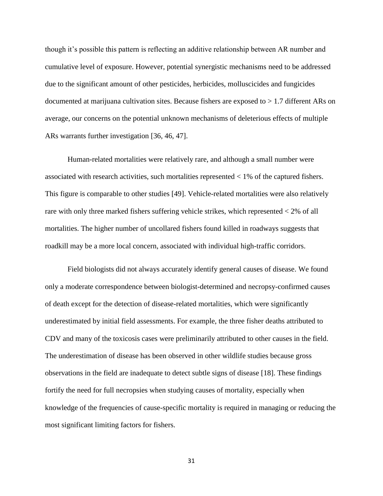though it's possible this pattern is reflecting an additive relationship between AR number and cumulative level of exposure. However, potential synergistic mechanisms need to be addressed due to the significant amount of other pesticides, herbicides, molluscicides and fungicides documented at marijuana cultivation sites. Because fishers are exposed to > 1.7 different ARs on average, our concerns on the potential unknown mechanisms of deleterious effects of multiple ARs warrants further investigation [36, 46, 47].

Human-related mortalities were relatively rare, and although a small number were associated with research activities, such mortalities represented < 1% of the captured fishers. This figure is comparable to other studies [49]. Vehicle-related mortalities were also relatively rare with only three marked fishers suffering vehicle strikes, which represented < 2% of all mortalities. The higher number of uncollared fishers found killed in roadways suggests that roadkill may be a more local concern, associated with individual high-traffic corridors.

Field biologists did not always accurately identify general causes of disease. We found only a moderate correspondence between biologist-determined and necropsy-confirmed causes of death except for the detection of disease-related mortalities, which were significantly underestimated by initial field assessments. For example, the three fisher deaths attributed to CDV and many of the toxicosis cases were preliminarily attributed to other causes in the field. The underestimation of disease has been observed in other wildlife studies because gross observations in the field are inadequate to detect subtle signs of disease [18]. These findings fortify the need for full necropsies when studying causes of mortality, especially when knowledge of the frequencies of cause-specific mortality is required in managing or reducing the most significant limiting factors for fishers.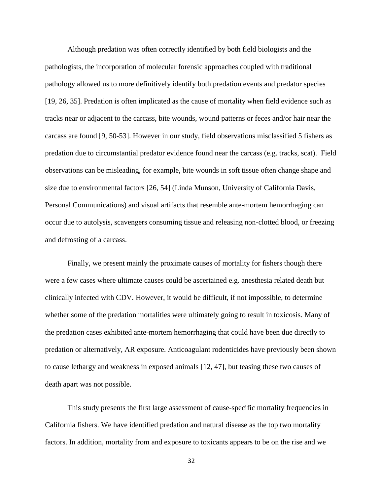Although predation was often correctly identified by both field biologists and the pathologists, the incorporation of molecular forensic approaches coupled with traditional pathology allowed us to more definitively identify both predation events and predator species [19, 26, 35]. Predation is often implicated as the cause of mortality when field evidence such as tracks near or adjacent to the carcass, bite wounds, wound patterns or feces and/or hair near the carcass are found [9, 50-53]. However in our study, field observations misclassified 5 fishers as predation due to circumstantial predator evidence found near the carcass (e.g. tracks, scat). Field observations can be misleading, for example, bite wounds in soft tissue often change shape and size due to environmental factors [26, 54] (Linda Munson, University of California Davis, Personal Communications) and visual artifacts that resemble ante-mortem hemorrhaging can occur due to autolysis, scavengers consuming tissue and releasing non-clotted blood, or freezing and defrosting of a carcass.

Finally, we present mainly the proximate causes of mortality for fishers though there were a few cases where ultimate causes could be ascertained e.g. anesthesia related death but clinically infected with CDV. However, it would be difficult, if not impossible, to determine whether some of the predation mortalities were ultimately going to result in toxicosis. Many of the predation cases exhibited ante-mortem hemorrhaging that could have been due directly to predation or alternatively, AR exposure. Anticoagulant rodenticides have previously been shown to cause lethargy and weakness in exposed animals [12, 47], but teasing these two causes of death apart was not possible.

This study presents the first large assessment of cause-specific mortality frequencies in California fishers. We have identified predation and natural disease as the top two mortality factors. In addition, mortality from and exposure to toxicants appears to be on the rise and we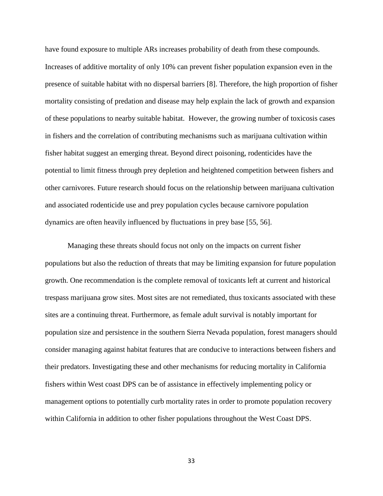have found exposure to multiple ARs increases probability of death from these compounds. Increases of additive mortality of only 10% can prevent fisher population expansion even in the presence of suitable habitat with no dispersal barriers [8]. Therefore, the high proportion of fisher mortality consisting of predation and disease may help explain the lack of growth and expansion of these populations to nearby suitable habitat. However, the growing number of toxicosis cases in fishers and the correlation of contributing mechanisms such as marijuana cultivation within fisher habitat suggest an emerging threat. Beyond direct poisoning, rodenticides have the potential to limit fitness through prey depletion and heightened competition between fishers and other carnivores. Future research should focus on the relationship between marijuana cultivation and associated rodenticide use and prey population cycles because carnivore population dynamics are often heavily influenced by fluctuations in prey base [55, 56].

Managing these threats should focus not only on the impacts on current fisher populations but also the reduction of threats that may be limiting expansion for future population growth. One recommendation is the complete removal of toxicants left at current and historical trespass marijuana grow sites. Most sites are not remediated, thus toxicants associated with these sites are a continuing threat. Furthermore, as female adult survival is notably important for population size and persistence in the southern Sierra Nevada population, forest managers should consider managing against habitat features that are conducive to interactions between fishers and their predators. Investigating these and other mechanisms for reducing mortality in California fishers within West coast DPS can be of assistance in effectively implementing policy or management options to potentially curb mortality rates in order to promote population recovery within California in addition to other fisher populations throughout the West Coast DPS.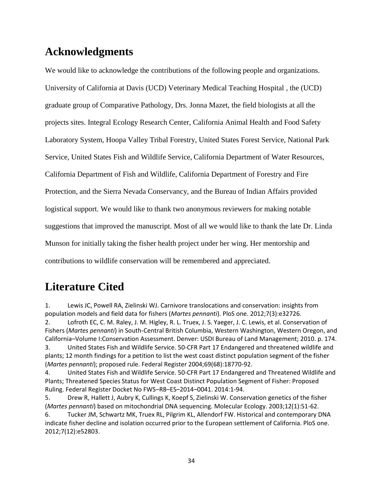# **Acknowledgments**

We would like to acknowledge the contributions of the following people and organizations. University of California at Davis (UCD) Veterinary Medical Teaching Hospital , the (UCD) graduate group of Comparative Pathology, Drs. Jonna Mazet, the field biologists at all the projects sites. Integral Ecology Research Center, California Animal Health and Food Safety Laboratory System, Hoopa Valley Tribal Forestry, United States Forest Service, National Park Service, United States Fish and Wildlife Service, California Department of Water Resources, California Department of Fish and Wildlife, California Department of Forestry and Fire Protection, and the Sierra Nevada Conservancy, and the Bureau of Indian Affairs provided logistical support. We would like to thank two anonymous reviewers for making notable suggestions that improved the manuscript. Most of all we would like to thank the late Dr. Linda Munson for initially taking the fisher health project under her wing. Her mentorship and contributions to wildlife conservation will be remembered and appreciated.

# **Literature Cited**

1. Lewis JC, Powell RA, Zielinski WJ. Carnivore translocations and conservation: insights from population models and field data for fishers (*Martes pennanti*). PloS one. 2012;7(3):e32726.

2. Lofroth EC, C. M. Raley, J. M. Higley, R. L. Truex, J. S. Yaeger, J. C. Lewis, et al. Conservation of Fishers (*Martes pennanti*) in South-Central British Columbia, Western Washington, Western Oregon, and California–Volume I:Conservation Assessment. Denver: USDI Bureau of Land Management; 2010. p. 174. 3. United States Fish and Wildlife Service. 50-CFR Part 17 Endangered and threatened wildlife and plants; 12 month findings for a petition to list the west coast distinct population segment of the fisher (*Martes pennanti*); proposed rule. Federal Register 2004;69(68):18770-92.

4. United States Fish and Wildlife Service. 50-CFR Part 17 Endangered and Threatened Wildlife and Plants; Threatened Species Status for West Coast Distinct Population Segment of Fisher: Proposed Ruling. Federal Register Docket No FWS–R8–ES–2014–0041. 2014:1-94.

5. Drew R, Hallett J, Aubry K, Cullings K, Koepf S, Zielinski W. Conservation genetics of the fisher (*Martes pennanti*) based on mitochondrial DNA sequencing. Molecular Ecology. 2003;12(1):51-62.

6. Tucker JM, Schwartz MK, Truex RL, Pilgrim KL, Allendorf FW. Historical and contemporary DNA indicate fisher decline and isolation occurred prior to the European settlement of California. PloS one. 2012;7(12):e52803.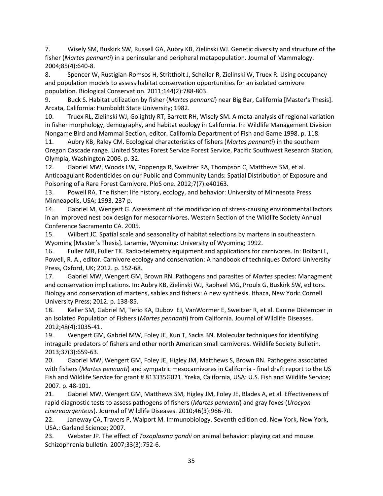7. Wisely SM, Buskirk SW, Russell GA, Aubry KB, Zielinski WJ. Genetic diversity and structure of the fisher (*Martes pennanti*) in a peninsular and peripheral metapopulation. Journal of Mammalogy. 2004;85(4):640-8.

8. Spencer W, Rustigian-Romsos H, Strittholt J, Scheller R, Zielinski W, Truex R. Using occupancy and population models to assess habitat conservation opportunities for an isolated carnivore population. Biological Conservation. 2011;144(2):788-803.

9. Buck S. Habitat utilization by fisher (*Martes pennanti*) near Big Bar, California [Master's Thesis]. Arcata, California: Humboldt State University; 1982.

10. Truex RL, Zielinski WJ, Golightly RT, Barrett RH, Wisely SM. A meta-analysis of regional variation in fisher morphology, demography, and habitat ecology in California. In: Wildlife Management Division Nongame Bird and Mammal Section, editor. California Department of Fish and Game 1998. p. 118.

11. Aubry KB, Raley CM. Ecological characteristics of fishers (*Martes pennanti*) in the southern Oregon Cascade range. United States Forest Service Forest Service, Pacific Southwest Research Station, Olympia, Washington 2006. p. 32.

12. Gabriel MW, Woods LW, Poppenga R, Sweitzer RA, Thompson C, Matthews SM, et al. Anticoagulant Rodenticides on our Public and Community Lands: Spatial Distribution of Exposure and Poisoning of a Rare Forest Carnivore. PloS one. 2012;7(7):e40163.

13. Powell RA. The fisher: life history, ecology, and behavior: University of Minnesota Press Minneapolis, USA; 1993. 237 p.

14. Gabriel M, Wengert G. Assessment of the modification of stress-causing environmental factors in an improved nest box design for mesocarnivores. Western Section of the Wildlife Society Annual Conference Sacramento CA. 2005.

15. Wilbert JC. Spatial scale and seasonality of habitat selections by martens in southeastern Wyoming [Master's Thesis]. Laramie, Wyoming: University of Wyoming; 1992.

16. Fuller MR, Fuller TK. Radio-telemetry equipment and applications for carnivores. In: Boitani L, Powell, R. A., editor. Carnivore ecology and conservation: A handbook of techniques Oxford University Press, Oxford, UK; 2012. p. 152-68.

17. Gabriel MW, Wengert GM, Brown RN. Pathogens and parasites of *Martes* species: Managment and conservation implications. In: Aubry KB, Zielinski WJ, Raphael MG, Proulx G, Buskirk SW, editors. Biology and conservation of martens, sables and fishers: A new synthesis. Ithaca, New York: Cornell University Press; 2012. p. 138-85.

18. Keller SM, Gabriel M, Terio KA, Dubovi EJ, VanWormer E, Sweitzer R, et al. Canine Distemper in an Isolated Population of Fishers (*Martes pennanti*) from California. Journal of Wildlife Diseases. 2012;48(4):1035-41.

19. Wengert GM, Gabriel MW, Foley JE, Kun T, Sacks BN. Molecular techniques for identifying intraguild predators of fishers and other north American small carnivores. Wildlife Society Bulletin. 2013;37(3):659-63.

20. Gabriel MW, Wengert GM, Foley JE, Higley JM, Matthews S, Brown RN. Pathogens associated with fishers (*Martes pennanti*) and sympatric mesocarnivores in California - final draft report to the US Fish and Wildlife Service for grant # 813335G021. Yreka, California, USA: U.S. Fish and Wildlife Service; 2007. p. 48-101.

21. Gabriel MW, Wengert GM, Matthews SM, Higley JM, Foley JE, Blades A, et al. Effectiveness of rapid diagnostic tests to assess pathogens of fishers (*Martes pennanti*) and gray foxes (*Urocyon cinereoargenteus*). Journal of Wildlife Diseases. 2010;46(3):966-70.

22. Janeway CA, Travers P, Walport M. Immunobiology. Seventh edition ed. New York, New York, USA.: Garland Science; 2007.

23. Webster JP. The effect of *Toxoplasma gondii* on animal behavior: playing cat and mouse. Schizophrenia bulletin. 2007;33(3):752-6.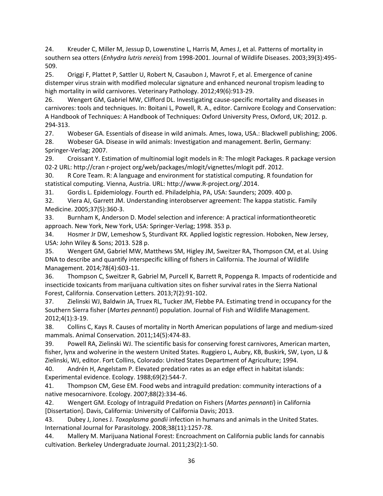24. Kreuder C, Miller M, Jessup D, Lowenstine L, Harris M, Ames J, et al. Patterns of mortality in southern sea otters (*Enhydra lutris nereis*) from 1998-2001. Journal of Wildlife Diseases. 2003;39(3):495- 509.

25. Origgi F, Plattet P, Sattler U, Robert N, Casaubon J, Mavrot F, et al. Emergence of canine distemper virus strain with modified molecular signature and enhanced neuronal tropism leading to high mortality in wild carnivores. Veterinary Pathology. 2012;49(6):913-29.

26. Wengert GM, Gabriel MW, Clifford DL. Investigating cause-specific mortality and diseases in carnivores: tools and techniques. In: Boitani L, Powell, R. A., editor. Carnivore Ecology and Conservation: A Handbook of Techniques: A Handbook of Techniques: Oxford University Press, Oxford, UK; 2012. p. 294-313.

27. Wobeser GA. Essentials of disease in wild animals. Ames, Iowa, USA.: Blackwell publishing; 2006.

28. Wobeser GA. Disease in wild animals: Investigation and management. Berlin, Germany: Springer-Verlag; 2007.

29. Croissant Y. Estimation of multinomial logit models in R: The mlogit Packages. R package version 02-2 URL: http://cran r-project org/web/packages/mlogit/vignettes/mlogit pdf. 2012.

30. R Core Team. R: A language and environment for statistical computing. R foundation for statistical computing. Vienna, Austria. URL: http://www.R-project.org/.2014.

31. Gordis L. Epidemiology. Fourth ed. Philadelphia, PA, USA: Saunders; 2009. 400 p.

32. Viera AJ, Garrett JM. Understanding interobserver agreement: The kappa statistic. Family Medicine. 2005;37(5):360-3.

33. Burnham K, Anderson D. Model selection and inference: A practical informationtheoretic approach. New York, New York, USA: Springer-Verlag; 1998. 353 p.

34. Hosmer Jr DW, Lemeshow S, Sturdivant RX. Applied logistic regression. Hoboken, New Jersey, USA: John Wiley & Sons; 2013. 528 p.

35. Wengert GM, Gabriel MW, Matthews SM, Higley JM, Sweitzer RA, Thompson CM, et al. Using DNA to describe and quantify interspecific killing of fishers in California. The Journal of Wildlife Management. 2014;78(4):603-11.

36. Thompson C, Sweitzer R, Gabriel M, Purcell K, Barrett R, Poppenga R. Impacts of rodenticide and insecticide toxicants from marijuana cultivation sites on fisher survival rates in the Sierra National Forest, California. Conservation Letters. 2013;7(2):91-102.

37. Zielinski WJ, Baldwin JA, Truex RL, Tucker JM, Flebbe PA. Estimating trend in occupancy for the Southern Sierra fisher (*Martes pennanti*) population. Journal of Fish and Wildlife Management. 2012;4(1):3-19.

38. Collins C, Kays R. Causes of mortality in North American populations of large and medium‐sized mammals. Animal Conservation. 2011;14(5):474-83.

39. Powell RA, Zielinski WJ. The scientific basis for conserving forest carnivores, American marten, fisher, lynx and wolverine in the western United States. Ruggiero L, Aubry, KB, Buskirk, SW, Lyon, LJ & Zielinski, WJ, editor. Fort Collins, Colorado: United States Department of Agriculture; 1994.

40. Andrén H, Angelstam P. Elevated predation rates as an edge effect in habitat islands: Experimental evidence. Ecology. 1988;69(2):544-7.

41. Thompson CM, Gese EM. Food webs and intraguild predation: community interactions of a native mesocarnivore. Ecology. 2007;88(2):334-46.

42. Wengert GM. Ecology of Intraguild Predation on Fishers (*Martes pennanti*) in California [Dissertation]. Davis, California: University of California Davis; 2013.

43. Dubey J, Jones J. *Toxoplasma gondii* infection in humans and animals in the United States. International Journal for Parasitology. 2008;38(11):1257-78.

44. Mallery M. Marijuana National Forest: Encroachment on California public lands for cannabis cultivation. Berkeley Undergraduate Journal. 2011;23(2):1-50.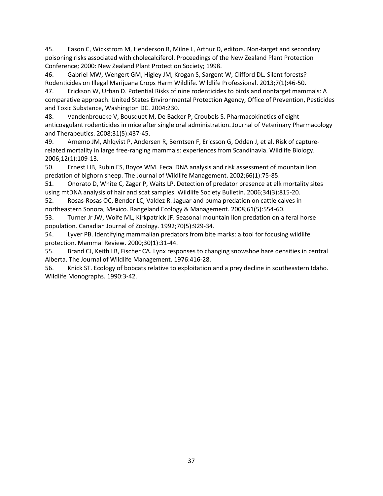45. Eason C, Wickstrom M, Henderson R, Milne L, Arthur D, editors. Non-target and secondary poisoning risks associated with cholecalciferol. Proceedings of the New Zealand Plant Protection Conference; 2000: New Zealand Plant Protection Society; 1998.

46. Gabriel MW, Wengert GM, Higley JM, Krogan S, Sargent W, Clifford DL. Silent forests? Rodenticides on Illegal Marijuana Crops Harm Wildlife. Wildlife Professional. 2013;7(1):46-50.

47. Erickson W, Urban D. Potential Risks of nine rodenticides to birds and nontarget mammals: A comparative approach. United States Environmental Protection Agency, Office of Prevention, Pesticides and Toxic Substance, Washington DC. 2004:230.

48. Vandenbroucke V, Bousquet M, De Backer P, Croubels S. Pharmacokinetics of eight anticoagulant rodenticides in mice after single oral administration. Journal of Veterinary Pharmacology and Therapeutics. 2008;31(5):437-45.

49. Arnemo JM, Ahlqvist P, Andersen R, Berntsen F, Ericsson G, Odden J, et al. Risk of capturerelated mortality in large free-ranging mammals: experiences from Scandinavia. Wildlife Biology. 2006;12(1):109-13.

50. Ernest HB, Rubin ES, Boyce WM. Fecal DNA analysis and risk assessment of mountain lion predation of bighorn sheep. The Journal of Wildlife Management. 2002;66(1):75-85.

51. Onorato D, White C, Zager P, Waits LP. Detection of predator presence at elk mortality sites using mtDNA analysis of hair and scat samples. Wildlife Society Bulletin. 2006;34(3):815-20.

52. Rosas-Rosas OC, Bender LC, Valdez R. Jaguar and puma predation on cattle calves in northeastern Sonora, Mexico. Rangeland Ecology & Management. 2008;61(5):554-60.

53. Turner Jr JW, Wolfe ML, Kirkpatrick JF. Seasonal mountain lion predation on a feral horse population. Canadian Journal of Zoology. 1992;70(5):929-34.

54. Lyver PB. Identifying mammalian predators from bite marks: a tool for focusing wildlife protection. Mammal Review. 2000;30(1):31-44.

55. Brand CJ, Keith LB, Fischer CA. Lynx responses to changing snowshoe hare densities in central Alberta. The Journal of Wildlife Management. 1976:416-28.

56. Knick ST. Ecology of bobcats relative to exploitation and a prey decline in southeastern Idaho. Wildlife Monographs. 1990:3-42.